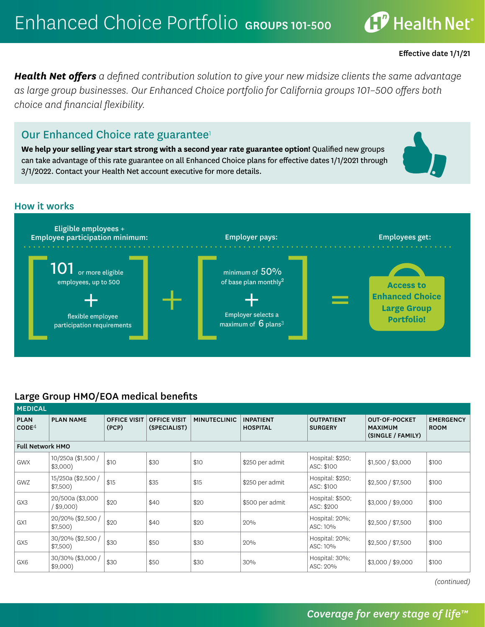$\mathbf{f}^p$  Health Net®

*Health Net offers a defined contribution solution to give your new midsize clients the same advantage as large group businesses. Our Enhanced Choice portfolio for California groups 101–500 offers both choice and financial flexibility.* 

## Our Enhanced Choice rate guarantee<sup>1</sup>

**We help your selling year start strong with a second year rate guarantee option!** Qualified new groups can take advantage of this rate guarantee on all Enhanced Choice plans for effective dates 1/1/2021 through 3/1/2022. Contact your Health Net account executive for more details.

#### How it works



#### Large Group HMO/EOA medical benefits

| <b>MEDICAL</b>                   |                                  |                              |                                     |                     |                                     |                                     |                                                             |                                 |  |  |
|----------------------------------|----------------------------------|------------------------------|-------------------------------------|---------------------|-------------------------------------|-------------------------------------|-------------------------------------------------------------|---------------------------------|--|--|
| <b>PLAN</b><br>CODE <sup>4</sup> | <b>PLAN NAME</b>                 | <b>OFFICE VISIT</b><br>(PCP) | <b>OFFICE VISIT</b><br>(SPECIALIST) | <b>MINUTECLINIC</b> | <b>INPATIENT</b><br><b>HOSPITAL</b> | <b>OUTPATIENT</b><br><b>SURGERY</b> | <b>OUT-OF-POCKET</b><br><b>MAXIMUM</b><br>(SINGLE / FAMILY) | <b>EMERGENCY</b><br><b>ROOM</b> |  |  |
|                                  | <b>Full Network HMO</b>          |                              |                                     |                     |                                     |                                     |                                                             |                                 |  |  |
| <b>GWX</b>                       | 10/250a (\$1,500 /<br>$$3,000$ ) | \$10                         | \$30                                | \$10                | \$250 per admit                     | Hospital: \$250;<br>ASC: \$100      | \$1,500 / \$3,000                                           | \$100                           |  |  |
| <b>GWZ</b>                       | 15/250a (\$2,500 /<br>$$7,500$ ) | \$15                         | \$35                                | \$15                | \$250 per admit                     | Hospital: \$250;<br>ASC: \$100      | \$2,500 / \$7,500                                           | \$100                           |  |  |
| GX3                              | 20/500a (\$3,000<br>/ \$9,000)   | \$20                         | \$40                                | \$20                | \$500 per admit                     | Hospital: \$500;<br>ASC: \$200      | \$3,000 / \$9,000                                           | \$100                           |  |  |
| GX1                              | 20/20% (\$2,500 /<br>$$7,500$ )  | \$20                         | \$40                                | \$20                | 20%                                 | Hospital: 20%;<br>ASC: 10%          | \$2,500 / \$7,500                                           | \$100                           |  |  |
| GX5                              | 30/20% (\$2,500 /<br>$$7,500$ )  | \$30                         | \$50                                | \$30                | 20%                                 | Hospital: 20%;<br>ASC: 10%          | \$2,500 / \$7,500                                           | \$100                           |  |  |
| GX6                              | 30/30% (\$3,000 /<br>$$9,000$ )  | \$30                         | \$50                                | \$30                | 30%                                 | Hospital: 30%;<br>ASC: 20%          | \$3,000 / \$9,000                                           | \$100                           |  |  |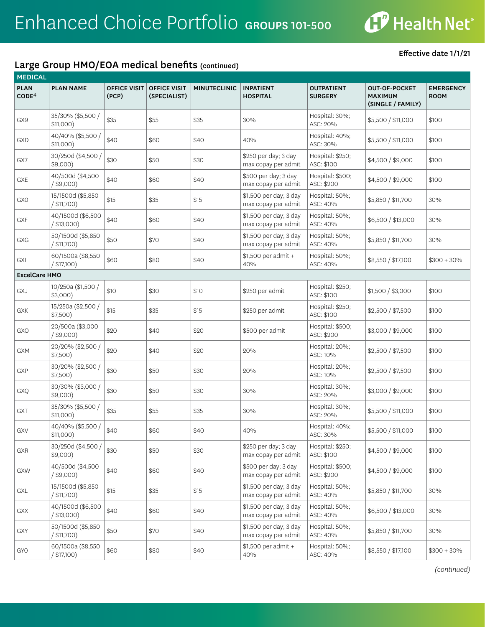

## Large Group HMO/EOA medical benefits (continued)

MEDICAL

| <b>PLAN</b><br>CODE <sup>4</sup> | <b>PLAN NAME</b>                   | <b>OFFICE VISIT</b><br>(PCP) | <b>OFFICE VISIT</b><br>(SPECIALIST) | <b>MINUTECLINIC</b> | <b>INPATIENT</b><br><b>HOSPITAL</b>           | <b>OUTPATIENT</b><br><b>SURGERY</b> | <b>OUT-OF-POCKET</b><br><b>MAXIMUM</b><br>(SINGLE / FAMILY) | <b>EMERGENCY</b><br><b>ROOM</b> |
|----------------------------------|------------------------------------|------------------------------|-------------------------------------|---------------------|-----------------------------------------------|-------------------------------------|-------------------------------------------------------------|---------------------------------|
| GX9                              | 35/30% (\$5,500 /<br>$$11,000$ )   | \$35                         | \$55                                | \$35                | 30%                                           | Hospital: 30%;<br>ASC: 20%          | \$5,500 / \$11,000                                          | \$100                           |
| GXD                              | 40/40% (\$5,500 /<br>$$11,000$ )   | \$40                         | \$60                                | \$40                | 40%                                           | Hospital: 40%;<br>ASC: 30%          | \$5,500 / \$11,000                                          | \$100                           |
| GX7                              | 30/250d (\$4,500 /<br>$$9,000$ )   | \$30                         | \$50                                | \$30                | \$250 per day; 3 day<br>max copay per admit   | Hospital: \$250;<br>ASC: \$100      | \$4,500 / \$9,000                                           | \$100                           |
| GXE                              | 40/500d (\$4,500<br>$/$ \$9,000)   | \$40                         | \$60                                | \$40                | \$500 per day; 3 day<br>max copay per admit   | Hospital: \$500;<br>ASC: \$200      | \$4,500 / \$9,000                                           | \$100                           |
| <b>GXO</b>                       | 15/1500d (\$5,850<br>$/$ \$11,700) | \$15                         | \$35                                | \$15                | \$1,500 per day; 3 day<br>max copay per admit | Hospital: 50%;<br>ASC: 40%          | \$5,850 / \$11,700                                          | 30%                             |
| <b>GXF</b>                       | 40/1500d (\$6,500<br>$/$ \$13,000) | \$40                         | \$60                                | \$40                | \$1,500 per day; 3 day<br>max copay per admit | Hospital: 50%;<br>ASC: 40%          | \$6,500 / \$13,000                                          | 30%                             |
| GXG                              | 50/1500d (\$5,850<br>$/$ \$11,700) | \$50                         | \$70                                | \$40                | \$1,500 per day; 3 day<br>max copay per admit | Hospital: 50%;<br>ASC: 40%          | \$5,850 / \$11,700                                          | 30%                             |
| GXI                              | 60/1500a (\$8,550<br>$/$ \$17,100) | \$60                         | \$80                                | \$40                | \$1,500 per admit +<br>40%                    | Hospital: 50%;<br>ASC: 40%          | \$8,550 / \$17,100                                          | $$300 + 30\%$                   |
| <b>ExcelCare HMO</b>             |                                    |                              |                                     |                     |                                               |                                     |                                                             |                                 |
| GXJ                              | 10/250a (\$1,500 /<br>\$3,000      | \$10                         | \$30                                | \$10                | \$250 per admit                               | Hospital: \$250;<br>ASC: \$100      | \$1,500 / \$3,000                                           | \$100                           |
| GXK                              | 15/250a (\$2,500 /<br>\$7,500)     | \$15                         | \$35                                | \$15                | \$250 per admit                               | Hospital: \$250;<br>ASC: \$100      | \$2,500 / \$7,500                                           | \$100                           |
| GXO                              | 20/500a (\$3,000<br>$/$ \$9,000)   | \$20                         | \$40                                | \$20                | \$500 per admit                               | Hospital: \$500;<br>ASC: \$200      | \$3,000 / \$9,000                                           | \$100                           |
| <b>GXM</b>                       | 20/20% (\$2,500 /<br>$$7,500$ )    | \$20                         | \$40                                | \$20                | 20%                                           | Hospital: 20%;<br>ASC: 10%          | \$2,500 / \$7,500                                           | \$100                           |
| GXP                              | 30/20% (\$2,500 /<br>$$7,500$ )    | \$30                         | \$50                                | \$30                | 20%                                           | Hospital: 20%;<br>ASC: 10%          | \$2,500 / \$7,500                                           | \$100                           |
| GXQ                              | 30/30% (\$3,000 /<br>$$9,000$ )    | \$30                         | \$50                                | \$30                | 30%                                           | Hospital: 30%;<br>ASC: 20%          | \$3,000 / \$9,000                                           | \$100                           |
| GXT                              | 35/30% (\$5,500 /<br>$$11,000$ )   | \$35                         | \$55                                | \$35                | 30%                                           | Hospital: 30%;<br>ASC: 20%          | \$5,500 / \$11,000                                          | \$100                           |
| GXV                              | 40/40% (\$5,500 /<br>\$11,000)     | \$40                         | \$60                                | \$40                | 40%                                           | Hospital: 40%;<br>ASC: 30%          | \$5,500 / \$11,000                                          | \$100                           |
| GXR                              | 30/250d (\$4,500 /<br>$$9,000$ )   | \$30                         | \$50                                | \$30                | \$250 per day; 3 day<br>max copay per admit   | Hospital: \$250;<br>ASC: \$100      | \$4,500 / \$9,000                                           | \$100                           |
| GXW                              | 40/500d (\$4,500<br>$/$ \$9,000)   | \$40                         | \$60                                | \$40                | \$500 per day; 3 day<br>max copay per admit   | Hospital: \$500;<br>ASC: \$200      | \$4,500 / \$9,000                                           | \$100                           |
| GXL                              | 15/1500d (\$5,850<br>$/$ \$11,700) | \$15                         | \$35                                | \$15                | \$1,500 per day; 3 day<br>max copay per admit | Hospital: 50%;<br>ASC: 40%          | \$5,850 / \$11,700                                          | 30%                             |
| GXX                              | 40/1500d (\$6,500<br>$/$ \$13,000) | \$40                         | \$60                                | \$40                | \$1,500 per day; 3 day<br>max copay per admit | Hospital: 50%;<br>ASC: 40%          | \$6,500 / \$13,000                                          | 30%                             |
| GXY                              | 50/1500d (\$5,850<br>/ \$11,700)   | \$50                         | \$70                                | \$40                | \$1,500 per day; 3 day<br>max copay per admit | Hospital: 50%;<br>ASC: 40%          | \$5,850 / \$11,700                                          | 30%                             |
| <b>GYO</b>                       | 60/1500a (\$8,550<br>$/$ \$17,100) | \$60                         | \$80                                | \$40                | \$1,500 per admit +<br>40%                    | Hospital: 50%;<br>ASC: 40%          | \$8,550 / \$17,100                                          | $$300 + 30\%$                   |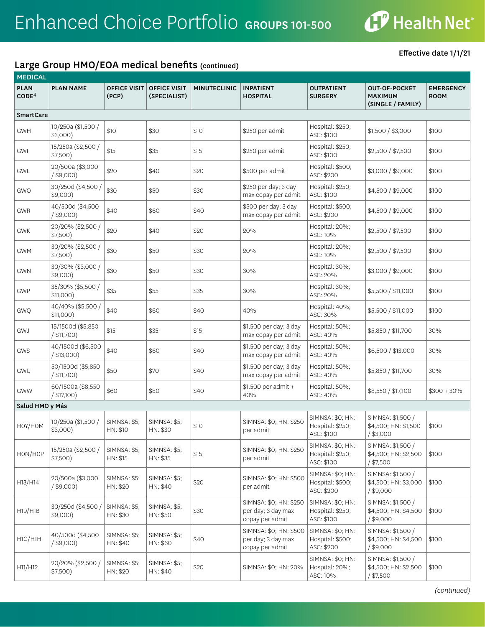

#### Large Group HMO/EOA medical benefits (continued)

| <b>MEDICAL</b>                   |                                    |                                 |                                     |                     |                                                                 |                                                    |                                                             |                                 |
|----------------------------------|------------------------------------|---------------------------------|-------------------------------------|---------------------|-----------------------------------------------------------------|----------------------------------------------------|-------------------------------------------------------------|---------------------------------|
| <b>PLAN</b><br>CODE <sup>4</sup> | <b>PLAN NAME</b>                   | <b>OFFICE VISIT</b><br>(PCP)    | <b>OFFICE VISIT</b><br>(SPECIALIST) | <b>MINUTECLINIC</b> | <b>INPATIENT</b><br><b>HOSPITAL</b>                             | <b>OUTPATIENT</b><br><b>SURGERY</b>                | <b>OUT-OF-POCKET</b><br><b>MAXIMUM</b><br>(SINGLE / FAMILY) | <b>EMERGENCY</b><br><b>ROOM</b> |
| <b>SmartCare</b>                 |                                    |                                 |                                     |                     |                                                                 |                                                    |                                                             |                                 |
| <b>GWH</b>                       | 10/250a (\$1,500 /<br>$$3,000$ )   | \$10                            | \$30                                | \$10                | \$250 per admit                                                 | Hospital: \$250;<br>ASC: \$100                     | \$1,500 / \$3,000                                           | \$100                           |
| GWI                              | 15/250a (\$2,500 /<br>$$7,500$ )   | \$15                            | \$35                                | \$15                | \$250 per admit                                                 | Hospital: \$250;<br>ASC: \$100                     | \$2,500 / \$7,500                                           | \$100                           |
| GWL                              | 20/500a (\$3,000<br>$/$ \$9,000)   | \$20                            | \$40                                | \$20                | \$500 per admit                                                 | Hospital: \$500;<br>ASC: \$200                     | \$3,000 / \$9,000                                           | \$100                           |
| <b>GWO</b>                       | 30/250d (\$4,500 /<br>$$9,000$ )   | \$30                            | \$50                                | \$30                | \$250 per day; 3 day<br>max copay per admit                     | Hospital: \$250;<br>ASC: \$100                     | \$4,500 / \$9,000                                           | \$100                           |
| GWR                              | 40/500d (\$4,500<br>$/$ \$9,000)   | \$40                            | \$60                                | \$40                | \$500 per day; 3 day<br>max copay per admit                     | Hospital: \$500;<br>ASC: \$200                     | \$4,500 / \$9,000                                           | \$100                           |
| <b>GWK</b>                       | 20/20% (\$2,500 /<br>\$7,500)      | \$20                            | \$40                                | \$20                | 20%                                                             | Hospital: 20%;<br>ASC: 10%                         | \$2,500 / \$7,500                                           | \$100                           |
| <b>GWM</b>                       | 30/20% (\$2,500 /<br>$$7,500$ )    | \$30                            | \$50                                | \$30                | 20%                                                             | Hospital: 20%;<br>ASC: 10%                         | \$2,500 / \$7,500                                           | \$100                           |
| <b>GWN</b>                       | 30/30% (\$3,000 /<br>$$9,000$ )    | \$30                            | \$50                                | \$30                | 30%                                                             | Hospital: 30%;<br>ASC: 20%                         | \$3,000 / \$9,000                                           | \$100                           |
| <b>GWP</b>                       | 35/30% (\$5,500 /<br>\$11,000)     | \$35                            | \$55                                | \$35                | 30%                                                             | Hospital: 30%;<br>ASC: 20%                         | \$5,500 / \$11,000                                          | \$100                           |
| GWQ                              | 40/40% (\$5,500 /<br>\$11,000)     | \$40                            | \$60                                | \$40                | 40%                                                             | Hospital: 40%;<br>ASC: 30%                         | \$5,500 / \$11,000                                          | \$100                           |
| GWJ                              | 15/1500d (\$5,850<br>$/$ \$11,700) | \$15                            | \$35                                | \$15                | \$1,500 per day; 3 day<br>max copay per admit                   | Hospital: 50%;<br>ASC: 40%                         | \$5,850 / \$11,700                                          | 30%                             |
| GWS                              | 40/1500d (\$6,500<br>$/$ \$13,000) | \$40                            | \$60                                | \$40                | \$1,500 per day; 3 day<br>max copay per admit                   | Hospital: 50%;<br>ASC: 40%                         | \$6,500 / \$13,000                                          | 30%                             |
| GWU                              | 50/1500d (\$5,850<br>$/$ \$11,700) | \$50                            | \$70                                | \$40                | \$1,500 per day; 3 day<br>max copay per admit                   | Hospital: 50%;<br>ASC: 40%                         | \$5,850 / \$11,700                                          | 30%                             |
| <b>GWW</b>                       | 60/1500a (\$8,550<br>/ \$17,100)   | \$60                            | \$80                                | \$40                | \$1,500 per admit +<br>40%                                      | Hospital: 50%;<br>ASC: 40%                         | \$8,550 / \$17,100                                          | $$300 + 30\%$                   |
| Salud HMO y Más                  |                                    |                                 |                                     |                     |                                                                 |                                                    |                                                             |                                 |
| HOY/HOM                          | 10/250a (\$1,500 /<br>\$3,000)     | <b>SIMNSA: \$5;</b><br>HN: \$10 | SIMNSA: \$5;<br>HN: \$30            | \$10                | SIMNSA: \$0; HN: \$250<br>per admit                             | SIMNSA: \$0; HN:<br>Hospital: \$250;<br>ASC: \$100 | SIMNSA: \$1,500 /<br>\$4,500; HN: \$1,500<br>$/$ \$3,000    | \$100                           |
| HON/HOP                          | 15/250a (\$2,500 /<br>\$7,500)     | <b>SIMNSA: \$5;</b><br>HN: \$15 | <b>SIMNSA: \$5;</b><br>HN: \$35     | \$15                | SIMNSA: \$0; HN: \$250<br>per admit                             | SIMNSA: \$0; HN:<br>Hospital: \$250;<br>ASC: \$100 | SIMNSA: \$1,500 /<br>\$4,500; HN: \$2,500<br>/ \$7,500      | \$100                           |
| H13/H14                          | 20/500a (\$3,000<br>$/$ \$9,000)   | <b>SIMNSA: \$5;</b><br>HN: \$20 | <b>SIMNSA: \$5;</b><br>HN: \$40     | \$20                | SIMNSA: \$0; HN: \$500<br>per admit                             | SIMNSA: \$0; HN:<br>Hospital: \$500;<br>ASC: \$200 | SIMNSA: \$1,500 /<br>\$4,500; HN: \$3,000<br>$/$ \$9,000    | \$100                           |
| H19/H1B                          | 30/250d (\$4,500)<br>$$9,000$ )    | <b>SIMNSA: \$5;</b><br>HN: \$30 | <b>SIMNSA: \$5;</b><br>HN: \$50     | \$30                | SIMNSA: \$0; HN: \$250<br>per day; 3 day max<br>copay per admit | SIMNSA: \$0; HN:<br>Hospital: \$250;<br>ASC: \$100 | SIMNSA: \$1,500 /<br>\$4,500; HN: \$4,500<br>$/$ \$9,000    | \$100                           |
| H1G/H1H                          | 40/500d (\$4,500<br>$/$ \$9,000)   | <b>SIMNSA: \$5;</b><br>HN: \$40 | <b>SIMNSA: \$5;</b><br>HN: \$60     | \$40                | SIMNSA: \$0; HN: \$500<br>per day; 3 day max<br>copay per admit | SIMNSA: \$0; HN:<br>Hospital: \$500;<br>ASC: \$200 | SIMNSA: \$1,500 /<br>\$4,500; HN: \$4,500<br>$/$ \$9,000    | \$100                           |
| H11/H12                          | 20/20% (\$2,500)<br>$$7,500$ )     | <b>SIMNSA: \$5;</b><br>HN: \$20 | SIMNSA: \$5;<br>HN: \$40            | \$20                | SIMNSA: \$0; HN: 20%                                            | SIMNSA: \$0; HN:<br>Hospital: 20%;<br>ASC: 10%     | SIMNSA: \$1,500 /<br>\$4,500; HN: \$2,500<br>/ \$7,500      | \$100                           |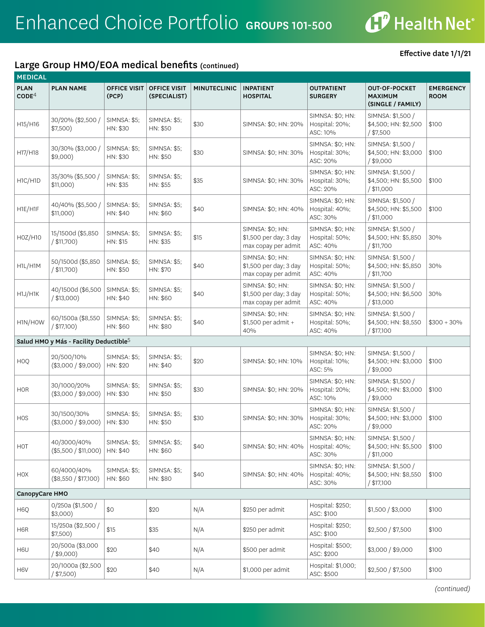

# Large Group HMO/EOA medical benefits (continued)

| <b>MEDICAL</b>                   |                                                    |                                 |                                     |                     |                                                                   |                                                |                                                             |                                 |
|----------------------------------|----------------------------------------------------|---------------------------------|-------------------------------------|---------------------|-------------------------------------------------------------------|------------------------------------------------|-------------------------------------------------------------|---------------------------------|
| <b>PLAN</b><br>CODE <sup>4</sup> | <b>PLAN NAME</b>                                   | <b>OFFICE VISIT</b><br>(PCP)    | <b>OFFICE VISIT</b><br>(SPECIALIST) | <b>MINUTECLINIC</b> | <b>INPATIENT</b><br><b>HOSPITAL</b>                               | <b>OUTPATIENT</b><br><b>SURGERY</b>            | <b>OUT-OF-POCKET</b><br><b>MAXIMUM</b><br>(SINGLE / FAMILY) | <b>EMERGENCY</b><br><b>ROOM</b> |
| H15/H16                          | 30/20% (\$2,500 /<br>$$7,500$ )                    | <b>SIMNSA: \$5;</b><br>HN: \$30 | SIMNSA: \$5;<br>HN: \$50            | \$30                | SIMNSA: \$0; HN: 20%                                              | SIMNSA: \$0; HN:<br>Hospital: 20%;<br>ASC: 10% | SIMNSA: \$1,500 /<br>\$4,500; HN: \$2,500<br>$/$ \$7,500    | \$100                           |
| H17/H18                          | 30/30% (\$3,000 /<br>$$9,000$ )                    | <b>SIMNSA: \$5;</b><br>HN: \$30 | <b>SIMNSA: \$5;</b><br>HN: \$50     | \$30                | SIMNSA: \$0; HN: 30%                                              | SIMNSA: \$0; HN:<br>Hospital: 30%;<br>ASC: 20% | SIMNSA: \$1,500 /<br>\$4,500; HN: \$3,000<br>$/$ \$9,000    | \$100                           |
| H1C/H1D                          | 35/30% (\$5,500 /<br>\$11,000)                     | <b>SIMNSA: \$5;</b><br>HN: \$35 | <b>SIMNSA: \$5;</b><br>HN: \$55     | \$35                | SIMNSA: \$0; HN: 30%                                              | SIMNSA: \$0; HN:<br>Hospital: 30%;<br>ASC: 20% | SIMNSA: \$1,500 /<br>\$4,500; HN: \$5,500<br>/ \$11,000     | \$100                           |
| H1E/H1F                          | 40/40% (\$5,500 /<br>$$11,000$ )                   | <b>SIMNSA: \$5;</b><br>HN: \$40 | <b>SIMNSA: \$5;</b><br>HN: \$60     | \$40                | SIMNSA: \$0; HN: 40%                                              | SIMNSA: \$0; HN:<br>Hospital: 40%;<br>ASC: 30% | SIMNSA: \$1,500 /<br>\$4,500; HN: \$5,500<br>/ \$11,000     | \$100                           |
| H0Z/H10                          | 15/1500d (\$5,850<br>$/$ \$11,700)                 | <b>SIMNSA: \$5;</b><br>HN: \$15 | <b>SIMNSA: \$5;</b><br>HN: \$35     | \$15                | SIMNSA: \$0; HN:<br>\$1,500 per day; 3 day<br>max copay per admit | SIMNSA: \$0; HN:<br>Hospital: 50%;<br>ASC: 40% | SIMNSA: \$1,500 /<br>\$4,500; HN: \$5,850<br>/ \$11,700     | 30%                             |
| H1L/H1M                          | 50/1500d (\$5,850<br>/ \$11,700)                   | <b>SIMNSA: \$5;</b><br>HN: \$50 | <b>SIMNSA: \$5;</b><br>HN: \$70     | \$40                | SIMNSA: \$0; HN:<br>\$1,500 per day; 3 day<br>max copay per admit | SIMNSA: \$0; HN:<br>Hospital: 50%;<br>ASC: 40% | SIMNSA: \$1,500 /<br>\$4,500; HN: \$5,850<br>/ \$11,700     | 30%                             |
| H1J/H1K                          | 40/1500d (\$6,500<br>$/$ \$13,000)                 | <b>SIMNSA: \$5;</b><br>HN: \$40 | <b>SIMNSA: \$5;</b><br>HN: \$60     | \$40                | SIMNSA: \$0; HN:<br>\$1,500 per day; 3 day<br>max copay per admit | SIMNSA: \$0; HN:<br>Hospital: 50%;<br>ASC: 40% | SIMNSA: \$1,500 /<br>\$4,500; HN: \$6,500<br>/ \$13,000     | 30%                             |
| H1N/HOW                          | 60/1500a (\$8,550<br>$/$ \$17,100)                 | <b>SIMNSA: \$5;</b><br>HN: \$60 | <b>SIMNSA: \$5;</b><br>HN: \$80     | \$40                | SIMNSA: \$0; HN:<br>\$1,500 per admit +<br>40%                    | SIMNSA: \$0; HN:<br>Hospital: 50%;<br>ASC: 40% | SIMNSA: \$1,500 /<br>\$4,500; HN: \$8,550<br>/ \$17,100     | $$300 + 30\%$                   |
|                                  | Salud HMO y Más - Facility Deductible <sup>5</sup> |                                 |                                     |                     |                                                                   |                                                |                                                             |                                 |
| HOQ                              | 20/500/10%<br>$(\$3,000 / \$9,000)$                | <b>SIMNSA: \$5;</b><br>HN: \$20 | <b>SIMNSA: \$5;</b><br>HN: \$40     | \$20                | SIMNSA: \$0; HN: 10%                                              | SIMNSA: \$0; HN:<br>Hospital: 10%;<br>ASC: 5%  | SIMNSA: \$1,500 /<br>\$4,500; HN: \$3,000<br>$/$ \$9,000    | \$100                           |
| <b>HOR</b>                       | 30/1000/20%<br>(\$3,000 / \$9,000)                 | <b>SIMNSA: \$5;</b><br>HN: \$30 | <b>SIMNSA: \$5;</b><br>HN: \$50     | \$30                | SIMNSA: \$0; HN: 20%                                              | SIMNSA: \$0; HN:<br>Hospital: 20%;<br>ASC: 10% | SIMNSA: \$1,500 /<br>\$4,500; HN: \$3,000<br>$/$ \$9,000    | \$100                           |
| <b>HOS</b>                       | 30/1500/30%<br>(\$3,000 / \$9,000)                 | <b>SIMNSA: \$5;</b><br>HN: \$30 | <b>SIMNSA: \$5;</b><br>HN: \$50     | \$30                | SIMNSA: \$0; HN: 30%                                              | SIMNSA: \$0; HN:<br>Hospital: 30%;<br>ASC: 20% | SIMNSA: \$1,500 /<br>\$4,500; HN: \$3,000<br>/ \$9,000      | \$100                           |
| HOT                              | 40/3000/40%<br>(\$5,500 / \$11,000)                | <b>SIMNSA: \$5;</b><br>HN: \$40 | SIMNSA: \$5;<br>HN: \$60            | \$40                | SIMNSA: \$0; HN: 40%                                              | SIMNSA: \$0; HN:<br>Hospital: 40%;<br>ASC: 30% | SIMNSA: \$1,500 /<br>\$4,500; HN: \$5,500<br>/ \$11,000     | \$100                           |
| HOX                              | 60/4000/40%<br>(\$8,550 / \$17,100)                | <b>SIMNSA: \$5;</b><br>HN: \$60 | SIMNSA: \$5;<br>HN: \$80            | \$40                | SIMNSA: \$0; HN: 40%                                              | SIMNSA: \$0; HN:<br>Hospital: 40%;<br>ASC: 30% | SIMNSA: \$1,500 /<br>\$4,500; HN: \$8,550<br>/ \$17,100     | \$100                           |
| CanopyCare HMO                   |                                                    |                                 |                                     |                     |                                                                   |                                                |                                                             |                                 |
| H6Q                              | 0/250a (\$1,500 /<br>$$3,000$ )                    | \$0                             | \$20                                | N/A                 | \$250 per admit                                                   | Hospital: \$250;<br>ASC: \$100                 | \$1,500 / \$3,000                                           | \$100                           |
| H6R                              | 15/250a (\$2,500 /<br>\$7,500)                     | \$15                            | \$35                                | N/A                 | \$250 per admit                                                   | Hospital: \$250;<br>ASC: \$100                 | \$2,500 / \$7,500                                           | \$100                           |
| H6U                              | 20/500a (\$3,000<br>$/$ \$9,000)                   | \$20                            | \$40                                | N/A                 | \$500 per admit                                                   | Hospital: \$500;<br>ASC: \$200                 | \$3,000 / \$9,000                                           | \$100                           |
| H6V                              | 20/1000a (\$2,500<br>$/$ \$7,500)                  | \$20                            | \$40                                | N/A                 | \$1,000 per admit                                                 | Hospital: \$1,000;<br>ASC: \$500               | \$2,500 / \$7,500                                           | \$100                           |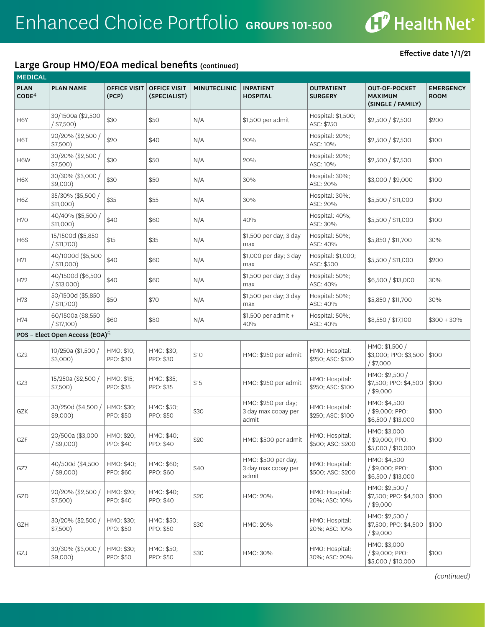

# Large Group HMO/EOA medical benefits (continued)

|  | Effective date 1/1/21 |  |
|--|-----------------------|--|
|--|-----------------------|--|

| <b>MEDICAL</b>                   |                                            |                              |                                     |                     |                                                     |                                     |                                                             |                                 |
|----------------------------------|--------------------------------------------|------------------------------|-------------------------------------|---------------------|-----------------------------------------------------|-------------------------------------|-------------------------------------------------------------|---------------------------------|
| <b>PLAN</b><br>$\mathsf{CODE}^4$ | <b>PLAN NAME</b>                           | <b>OFFICE VISIT</b><br>(PCP) | <b>OFFICE VISIT</b><br>(SPECIALIST) | <b>MINUTECLINIC</b> | <b>INPATIENT</b><br><b>HOSPITAL</b>                 | <b>OUTPATIENT</b><br><b>SURGERY</b> | <b>OUT-OF-POCKET</b><br><b>MAXIMUM</b><br>(SINGLE / FAMILY) | <b>EMERGENCY</b><br><b>ROOM</b> |
| H <sub>6</sub> Y                 | 30/1500a (\$2,500<br>$/$ \$7,500)          | \$30                         | \$50                                | N/A                 | \$1,500 per admit                                   | Hospital: \$1,500;<br>ASC: \$750    | \$2,500 / \$7,500                                           | \$200                           |
| H6T                              | 20/20% (\$2,500 /<br>$$7,500$ )            | \$20                         | \$40                                | N/A                 | 20%                                                 | Hospital: 20%;<br>ASC: 10%          | \$2,500 / \$7,500                                           | \$100                           |
| H <sub>6</sub> W                 | 30/20% (\$2,500 /<br>$$7,500$ )            | \$30                         | \$50                                | N/A                 | 20%                                                 | Hospital: 20%;<br>ASC: 10%          | \$2,500 / \$7,500                                           | \$100                           |
| H6X                              | 30/30% (\$3,000 /<br>$$9,000$ )            | \$30                         | \$50                                | N/A                 | 30%                                                 | Hospital: 30%;<br>ASC: 20%          | \$3,000 / \$9,000                                           | \$100                           |
| H6Z                              | 35/30% (\$5,500 /<br>$$11,000$ )           | \$35                         | \$55                                | N/A                 | 30%                                                 | Hospital: 30%;<br>ASC: 20%          | \$5,500 / \$11,000                                          | \$100                           |
| <b>H70</b>                       | 40/40% (\$5,500 /<br>\$11,000)             | \$40                         | \$60                                | N/A                 | 40%                                                 | Hospital: 40%;<br>ASC: 30%          | \$5,500 / \$11,000                                          | \$100                           |
| H6S                              | 15/1500d (\$5,850<br>$/$ \$11,700)         | \$15                         | \$35                                | N/A                 | \$1,500 per day; 3 day<br>max                       | Hospital: 50%;<br>ASC: 40%          | \$5,850 / \$11,700                                          | 30%                             |
| H71                              | 40/1000d (\$5,500<br>/ \$11,000            | \$40                         | \$60                                | N/A                 | \$1,000 per day; 3 day<br>max                       | Hospital: \$1,000;<br>ASC: \$500    | \$5,500 / \$11,000                                          | \$200                           |
| H72                              | 40/1500d (\$6,500<br>$/$ \$13,000)         | \$40                         | \$60                                | N/A                 | \$1,500 per day; 3 day<br>max                       | Hospital: 50%;<br>ASC: 40%          | \$6,500 / \$13,000                                          | 30%                             |
| H73                              | 50/1500d (\$5,850<br>$/$ \$11,700)         | \$50                         | \$70                                | N/A                 | \$1,500 per day; 3 day<br>max                       | Hospital: 50%;<br>ASC: 40%          | \$5,850 / \$11,700                                          | 30%                             |
| H74                              | 60/1500a (\$8,550<br>$/$ \$17,100)         | \$60                         | \$80                                | N/A                 | \$1,500 per admit +<br>40%                          | Hospital: 50%;<br>ASC: 40%          | \$8,550 / \$17,100                                          | $$300 + 30\%$                   |
|                                  | POS - Elect Open Access (EOA) <sup>6</sup> |                              |                                     |                     |                                                     |                                     |                                                             |                                 |
| GZ <sub>2</sub>                  | 10/250a (\$1,500 /<br>$$3,000$ )           | HMO: \$10;<br>PPO: \$30      | HMO: \$30;<br>PPO: \$30             | \$10                | HMO: \$250 per admit                                | HMO: Hospital:<br>\$250; ASC: \$100 | HMO: \$1,500 /<br>\$3,000; PPO: \$3,500<br>$/$ \$7,000      | \$100                           |
| GZ3                              | 15/250a (\$2,500 /<br>$$7,500$ )           | HMO: \$15;<br>PPO: \$35      | HMO: \$35;<br>PPO: \$35             | \$15                | HMO: \$250 per admit                                | HMO: Hospital:<br>\$250; ASC: \$100 | HMO: \$2,500 /<br>\$7,500; PPO: \$4,500<br>$/$ \$9,000      | \$100                           |
| GZK                              | 30/250d (\$4,500)<br>$$9,000$ )            | HMO: \$30;<br>PPO: \$50      | HMO: \$50;<br>PPO: \$50             | \$30                | HMO: \$250 per day;<br>3 day max copay per<br>admit | HMO: Hospital:<br>\$250; ASC: \$100 | HMO: \$4,500<br>/ \$9,000; PPO:<br>\$6,500 / \$13,000       | \$100                           |
| GZF                              | 20/500a (\$3,000<br>$/$ \$9,000)           | HMO: \$20;<br>PPO: \$40      | HMO: \$40;<br>PPO: \$40             | \$20                | HMO: \$500 per admit                                | HMO: Hospital:<br>\$500; ASC: \$200 | HMO: \$3,000<br>/ \$9,000; PPO:<br>\$5,000 / \$10,000       | \$100                           |
| GZ7                              | 40/500d (\$4,500<br>$/$ \$9,000)           | HMO: \$40;<br>PPO: \$60      | HMO: \$60;<br>PPO: \$60             | \$40                | HMO: \$500 per day;<br>3 day max copay per<br>admit | HMO: Hospital:<br>\$500; ASC: \$200 | HMO: \$4,500<br>/ \$9,000; PPO:<br>\$6,500 / \$13,000       | \$100                           |
| GZD                              | 20/20% (\$2,500 /<br>$$7,500$ )            | HMO: \$20;<br>PPO: \$40      | HMO: \$40;<br>PPO: \$40             | \$20                | HMO: 20%                                            | HMO: Hospital:<br>20%; ASC: 10%     | HMO: \$2,500 /<br>\$7,500; PPO: \$4,500<br>$/$ \$9,000      | \$100                           |
| GZH                              | 30/20% (\$2,500 /<br>\$7,500)              | HMO: \$30;<br>PPO: \$50      | HMO: \$50;<br>PPO: \$50             | \$30                | HMO: 20%                                            | HMO: Hospital:<br>20%; ASC: 10%     | HMO: \$2,500 /<br>\$7,500; PPO: \$4,500<br>$/$ \$9,000      | \$100                           |
| GZJ                              | 30/30% (\$3,000 /<br>$$9,000$ )            | HMO: \$30;<br>PPO: \$50      | HMO: \$50;<br>PPO: \$50             | \$30                | HMO: 30%                                            | HMO: Hospital:<br>30%; ASC: 20%     | HMO: \$3,000<br>/ \$9,000; PPO:<br>\$5,000 / \$10,000       | \$100                           |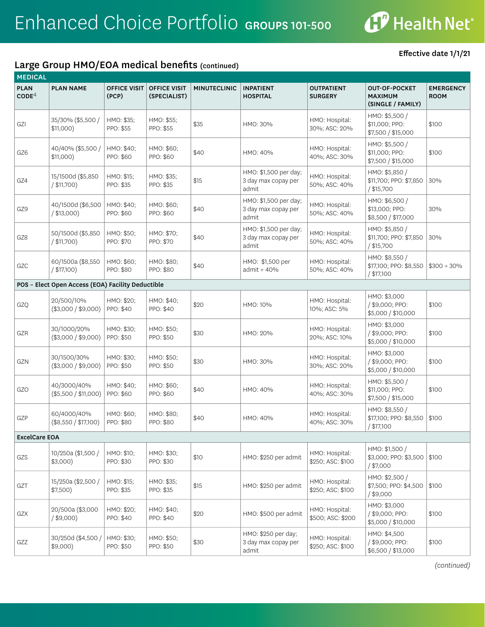

## Large Group HMO/EOA medical benefits (continued)

Effective date 1/1/21

| <b>MEDICAL</b>                   |                                                   |                              |                                     |                     |                                                       |                                     |                                                             |                                 |
|----------------------------------|---------------------------------------------------|------------------------------|-------------------------------------|---------------------|-------------------------------------------------------|-------------------------------------|-------------------------------------------------------------|---------------------------------|
| <b>PLAN</b><br>CODE <sup>4</sup> | <b>PLAN NAME</b>                                  | <b>OFFICE VISIT</b><br>(PCP) | <b>OFFICE VISIT</b><br>(SPECIALIST) | <b>MINUTECLINIC</b> | <b>INPATIENT</b><br><b>HOSPITAL</b>                   | <b>OUTPATIENT</b><br><b>SURGERY</b> | <b>OUT-OF-POCKET</b><br><b>MAXIMUM</b><br>(SINGLE / FAMILY) | <b>EMERGENCY</b><br><b>ROOM</b> |
| GZI                              | 35/30% (\$5,500 /<br>$$11,000$ )                  | HMO: \$35:<br>PPO: \$55      | HMO: \$55;<br>PPO: \$55             | \$35                | HMO: 30%                                              | HMO: Hospital:<br>30%; ASC: 20%     | HMO: \$5,500 /<br>\$11,000; PPO:<br>\$7,500 / \$15,000      | \$100                           |
| GZ6                              | 40/40% (\$5,500 /<br>$$11,000$ )                  | HMO: \$40;<br>PPO: \$60      | HMO: \$60;<br>PPO: \$60             | \$40                | HMO: 40%                                              | HMO: Hospital:<br>40%; ASC: 30%     | HMO: \$5,500 /<br>\$11,000; PPO:<br>\$7,500 / \$15,000      | \$100                           |
| GZ4                              | 15/1500d (\$5,850<br>/ \$11,700)                  | HMO: \$15;<br>PPO: \$35      | HMO: \$35;<br>PPO: \$35             | \$15                | HMO: \$1,500 per day;<br>3 day max copay per<br>admit | HMO: Hospital:<br>50%; ASC: 40%     | HMO: \$5,850 /<br>\$11,700; PPO: \$7,850<br>/ \$15,700      | 30%                             |
| GZ9                              | 40/1500d (\$6,500<br>/ \$13,000                   | HMO: \$40;<br>PPO: \$60      | HMO: \$60;<br>PPO: \$60             | \$40                | HMO: \$1,500 per day;<br>3 day max copay per<br>admit | HMO: Hospital:<br>50%; ASC: 40%     | HMO: \$6,500 /<br>\$13,000; PPO:<br>\$8,500 / \$17,000      | 30%                             |
| GZ8                              | 50/1500d (\$5,850<br>$/$ \$11,700)                | HMO: \$50;<br>PPO: \$70      | HMO: \$70;<br>PPO: \$70             | \$40                | HMO: \$1,500 per day;<br>3 day max copay per<br>admit | HMO: Hospital:<br>50%; ASC: 40%     | HMO: \$5,850 /<br>\$11,700; PPO: \$7,850<br>/ \$15,700      | 30%                             |
| GZC                              | 60/1500a (\$8,550<br>$/$ \$17,100)                | HMO: \$60;<br>PPO: \$80      | HMO: \$80;<br>PPO: \$80             | \$40                | HMO: \$1,500 per<br>$admit + 40%$                     | HMO: Hospital:<br>50%; ASC: 40%     | HMO: \$8,550 /<br>\$17,100; PPO: \$8,550<br>/ \$17,100      | $$300 + 30\%$                   |
|                                  | POS - Elect Open Access (EOA) Facility Deductible |                              |                                     |                     |                                                       |                                     |                                                             |                                 |
| GZQ                              | 20/500/10%<br>(\$3,000 / \$9,000)                 | HMO: \$20;<br>PPO: \$40      | HMO: \$40:<br>PPO: \$40             | \$20                | HMO: 10%                                              | HMO: Hospital:<br>10%; ASC: 5%      | HMO: \$3,000<br>/ \$9,000; PPO:<br>\$5,000 / \$10,000       | \$100                           |
| GZR                              | 30/1000/20%<br>(\$3,000 / \$9,000)                | HMO: \$30;<br>PPO: \$50      | HMO: \$50;<br>PPO: \$50             | \$30                | HMO: 20%                                              | HMO: Hospital:<br>20%; ASC: 10%     | HMO: \$3,000<br>/ \$9,000; PPO:<br>\$5,000 / \$10,000       | \$100                           |
| GZN                              | 30/1500/30%<br>(\$3,000 / \$9,000)                | HMO: \$30;<br>PPO: \$50      | HMO: \$50;<br>PPO: \$50             | \$30                | HMO: 30%                                              | HMO: Hospital:<br>30%; ASC: 20%     | HMO: \$3,000<br>/ \$9,000; PPO:<br>\$5,000 / \$10,000       | \$100                           |
| GZO                              | 40/3000/40%<br>(\$5,500 / \$11,000)               | HMO: \$40;<br>PPO: \$60      | HMO: \$60;<br>PPO: \$60             | \$40                | HMO: 40%                                              | HMO: Hospital:<br>40%; ASC: 30%     | HMO: \$5,500 /<br>\$11,000; PPO:<br>\$7,500 / \$15,000      | \$100                           |
| GZP                              | 60/4000/40%<br>(\$8,550 / \$17,100)               | HMO: \$60;<br>PPO: \$80      | HMO: \$80;<br>PPO: \$80             | \$40                | HMO: 40%                                              | HMO: Hospital:<br>40%; ASC: 30%     | HMO: \$8,550 /<br>\$17,100; PPO: \$8,550<br>/ \$17,100      | \$100                           |
| <b>ExcelCare EOA</b>             |                                                   |                              |                                     |                     |                                                       |                                     |                                                             |                                 |
| GZS                              | 10/250a (\$1,500 /<br>$$3,000$ )                  | HMO: \$10;<br>PPO: \$30      | HMO: \$30;<br>PPO: \$30             | \$10                | HMO: \$250 per admit                                  | HMO: Hospital:<br>\$250; ASC: \$100 | HMO: \$1,500 /<br>\$3,000; PPO: \$3,500<br>/ \$7,000        | \$100                           |
| GZT                              | 15/250a (\$2,500 /<br>\$7,500)                    | HMO: \$15;<br>PPO: \$35      | HMO: \$35;<br>PPO: \$35             | \$15                | HMO: \$250 per admit                                  | HMO: Hospital:<br>\$250; ASC: \$100 | HMO: \$2,500 /<br>\$7,500; PPO: \$4,500<br>/ \$9,000        | \$100                           |
| GZX                              | 20/500a (\$3,000<br>$/$ \$9,000)                  | HMO: \$20;<br>PPO: \$40      | HMO: \$40;<br>PPO: \$40             | \$20                | HMO: \$500 per admit                                  | HMO: Hospital:<br>\$500; ASC: \$200 | HMO: \$3,000<br>/ \$9,000; PPO:<br>\$5,000 / \$10,000       | \$100                           |
| GZZ                              | 30/250d (\$4,500)<br>$$9,000$ )                   | HMO: \$30;<br>PPO: \$50      | HMO: \$50;<br>PPO: \$50             | \$30                | HMO: \$250 per day;<br>3 day max copay per<br>admit   | HMO: Hospital:<br>\$250; ASC: \$100 | HMO: \$4,500<br>/ \$9,000; PPO:<br>\$6,500 / \$13,000       | \$100                           |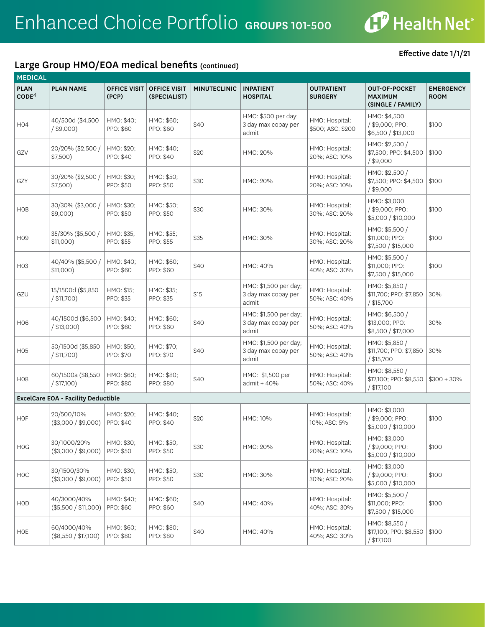

# Large Group HMO/EOA medical benefits (continued)

| <b>MEDICAL</b>                   |                                            |                              |                                     |                     |                                                       |                                     |                                                             |                                 |
|----------------------------------|--------------------------------------------|------------------------------|-------------------------------------|---------------------|-------------------------------------------------------|-------------------------------------|-------------------------------------------------------------|---------------------------------|
| <b>PLAN</b><br>$\mathsf{CODE}^4$ | <b>PLAN NAME</b>                           | <b>OFFICE VISIT</b><br>(PCP) | <b>OFFICE VISIT</b><br>(SPECIALIST) | <b>MINUTECLINIC</b> | <b>INPATIENT</b><br><b>HOSPITAL</b>                   | <b>OUTPATIENT</b><br><b>SURGERY</b> | <b>OUT-OF-POCKET</b><br><b>MAXIMUM</b><br>(SINGLE / FAMILY) | <b>EMERGENCY</b><br><b>ROOM</b> |
| H04                              | 40/500d (\$4,500<br>$/$ \$9,000)           | HMO: \$40;<br>PPO: \$60      | HMO: \$60;<br>PPO: \$60             | \$40                | HMO: \$500 per day;<br>3 day max copay per<br>admit   | HMO: Hospital:<br>\$500; ASC: \$200 | HMO: \$4,500<br>/ \$9,000; PPO:<br>\$6,500 / \$13,000       | \$100                           |
| GZV                              | 20/20% (\$2,500 /<br>\$7,500)              | HMO: \$20;<br>PPO: \$40      | HMO: \$40;<br>PPO: \$40             | \$20                | HMO: 20%                                              | HMO: Hospital:<br>20%; ASC: 10%     | HMO: \$2,500 /<br>\$7,500; PPO: \$4,500<br>$/$ \$9,000      | \$100                           |
| GZY                              | 30/20% (\$2,500 /<br>\$7,500)              | HMO: \$30;<br>PPO: \$50      | HMO: \$50;<br>PPO: \$50             | \$30                | HMO: 20%                                              | HMO: Hospital:<br>20%; ASC: 10%     | HMO: \$2,500 /<br>\$7,500; PPO: \$4,500<br>$/$ \$9,000      | \$100                           |
| <b>HOB</b>                       | 30/30% (\$3,000 /<br>$$9,000$ )            | HMO: \$30;<br>PPO: \$50      | HMO: \$50;<br>PPO: \$50             | \$30                | HMO: 30%                                              | HMO: Hospital:<br>30%; ASC: 20%     | HMO: \$3,000<br>/ \$9,000; PPO:<br>\$5,000 / \$10,000       | \$100                           |
| H <sub>09</sub>                  | 35/30% (\$5,500 /<br>\$11,000)             | HMO: \$35;<br>PPO: \$55      | HMO: \$55;<br>PPO: \$55             | \$35                | HMO: 30%                                              | HMO: Hospital:<br>30%; ASC: 20%     | HMO: \$5,500 /<br>\$11,000; PPO:<br>\$7,500 / \$15,000      | \$100                           |
| H03                              | 40/40% (\$5,500 /<br>\$11,000)             | HMO: \$40;<br>PPO: \$60      | HMO: \$60;<br>PPO: \$60             | \$40                | HMO: 40%                                              | HMO: Hospital:<br>40%; ASC: 30%     | HMO: \$5,500 /<br>\$11,000: PPO:<br>\$7,500 / \$15,000      | \$100                           |
| GZU                              | 15/1500d (\$5,850<br>/ \$11,700)           | HMO: \$15;<br>PPO: \$35      | HMO: \$35;<br>PPO: \$35             | \$15                | HMO: \$1,500 per day;<br>3 day max copay per<br>admit | HMO: Hospital:<br>50%; ASC: 40%     | HMO: \$5,850 /<br>\$11,700; PPO: \$7,850<br>/ \$15,700      | 30%                             |
| H06                              | 40/1500d (\$6,500<br>/ \$13,000)           | HMO: \$40;<br>PPO: \$60      | HMO: \$60;<br>PPO: \$60             | \$40                | HMO: \$1,500 per day;<br>3 day max copay per<br>admit | HMO: Hospital:<br>50%; ASC: 40%     | HMO: \$6,500 /<br>\$13,000; PPO:<br>\$8,500 / \$17,000      | 30%                             |
| H <sub>05</sub>                  | 50/1500d (\$5,850<br>/ \$11,700)           | HMO: \$50;<br>PPO: \$70      | HMO: \$70;<br>PPO: \$70             | \$40                | HMO: \$1,500 per day;<br>3 day max copay per<br>admit | HMO: Hospital:<br>50%; ASC: 40%     | HMO: \$5,850 /<br>\$11,700; PPO: \$7,850<br>/ \$15,700      | 30%                             |
| H08                              | 60/1500a (\$8,550<br>/ \$17,100)           | HMO: \$60;<br>PPO: \$80      | HMO: \$80;<br>PPO: \$80             | \$40                | HMO: \$1,500 per<br>$admit + 40%$                     | HMO: Hospital:<br>50%; ASC: 40%     | HMO: \$8,550 /<br>\$17,100; PPO: \$8,550<br>/ \$17,100      | $$300 + 30\%$                   |
|                                  | <b>ExcelCare EOA - Facility Deductible</b> |                              |                                     |                     |                                                       |                                     |                                                             |                                 |
| <b>HOF</b>                       | 20/500/10%<br>(\$3,000 / \$9,000)          | HMO: \$20;<br>PPO: \$40      | HMO: \$40;<br>PPO: \$40             | \$20                | HMO: 10%                                              | HMO: Hospital:<br>10%; ASC: 5%      | HMO: \$3,000<br>/ \$9,000; PPO:<br>\$5,000 / \$10,000       | \$100                           |
| <b>HOG</b>                       | 30/1000/20%<br>(\$3,000 / \$9,000)         | HMO: \$30;<br>PPO: \$50      | HMO: \$50;<br>PPO: \$50             | \$30                | HMO: 20%                                              | HMO: Hospital:<br>20%; ASC: 10%     | HMO: \$3,000<br>/ \$9,000; PPO:<br>\$5,000 / \$10,000       | \$100                           |
| HOC                              | 30/1500/30%<br>(\$3,000 / \$9,000)         | HMO: \$30;<br>PPO: \$50      | HMO: \$50;<br>PPO: \$50             | \$30                | HMO: 30%                                              | HMO: Hospital:<br>30%; ASC: 20%     | HMO: \$3,000<br>/ \$9,000; PPO:<br>\$5,000 / \$10,000       | \$100                           |
| HOD                              | 40/3000/40%<br>(\$5,500 / \$11,000)        | HMO: \$40;<br>PPO: \$60      | HMO: \$60;<br>PPO: \$60             | \$40                | HMO: 40%                                              | HMO: Hospital:<br>40%; ASC: 30%     | HMO: \$5,500 /<br>\$11,000; PPO:<br>\$7,500 / \$15,000      | \$100                           |
| HOE                              | 60/4000/40%<br>(\$8,550 / \$17,100)        | HMO: \$60;<br>PPO: \$80      | HMO: \$80;<br>PPO: \$80             | \$40                | HMO: 40%                                              | HMO: Hospital:<br>40%; ASC: 30%     | HMO: \$8,550 /<br>\$17,100; PPO: \$8,550<br>/ \$17,100      | \$100                           |

Effective date 1/1/21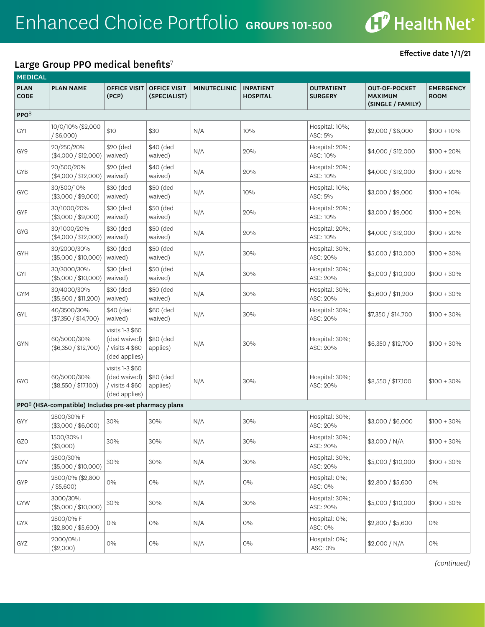

## Large Group PPO medical benefits<sup>7</sup>

| <b>MEDICAL</b>             |                                                                   |                                                                     |                                     |                     |                                     |                                     |                                                             |                                 |  |  |
|----------------------------|-------------------------------------------------------------------|---------------------------------------------------------------------|-------------------------------------|---------------------|-------------------------------------|-------------------------------------|-------------------------------------------------------------|---------------------------------|--|--|
| <b>PLAN</b><br><b>CODE</b> | <b>PLAN NAME</b>                                                  | <b>OFFICE VISIT</b><br>(PCP)                                        | <b>OFFICE VISIT</b><br>(SPECIALIST) | <b>MINUTECLINIC</b> | <b>INPATIENT</b><br><b>HOSPITAL</b> | <b>OUTPATIENT</b><br><b>SURGERY</b> | <b>OUT-OF-POCKET</b><br><b>MAXIMUM</b><br>(SINGLE / FAMILY) | <b>EMERGENCY</b><br><b>ROOM</b> |  |  |
| PPO <sup>8</sup>           |                                                                   |                                                                     |                                     |                     |                                     |                                     |                                                             |                                 |  |  |
| GY1                        | 10/0/10% (\$2,000<br>$/$ \$6,000)                                 | \$10                                                                | \$30                                | N/A                 | 10%                                 | Hospital: 10%;<br>ASC: 5%           | \$2,000 / \$6,000                                           | $$100 + 10\%$                   |  |  |
| GY9                        | 20/250/20%<br>(\$4,000 / \$12,000)                                | \$20 (ded<br>waived)                                                | \$40 (ded<br>waived)                | N/A                 | 20%                                 | Hospital: 20%;<br>ASC: 10%          | \$4,000 / \$12,000                                          | $$100 + 20\%$                   |  |  |
| GYB                        | 20/500/20%<br>$(\$4,000 / \$12,000)$                              | \$20 (ded<br>waived)                                                | \$40 (ded<br>waived)                | N/A                 | 20%                                 | Hospital: 20%;<br>ASC: 10%          | \$4,000 / \$12,000                                          | $$100 + 20\%$                   |  |  |
| <b>GYC</b>                 | 30/500/10%<br>(\$3,000 / \$9,000)                                 | \$30 (ded<br>waived)                                                | \$50 (ded<br>waived)                | N/A                 | 10%                                 | Hospital: 10%;<br>ASC: 5%           | \$3,000 / \$9,000                                           | $$100 + 10\%$                   |  |  |
| GYF                        | 30/1000/20%<br>(\$3,000 / \$9,000)                                | \$30 (ded<br>waived)                                                | \$50 (ded<br>waived)                | N/A                 | 20%                                 | Hospital: 20%;<br>ASC: 10%          | \$3,000 / \$9,000                                           | $$100 + 20\%$                   |  |  |
| <b>GYG</b>                 | 30/1000/20%<br>(\$4,000 / \$12,000)                               | \$30 (ded<br>waived)                                                | \$50 (ded<br>waived)                | N/A                 | 20%                                 | Hospital: 20%;<br>ASC: 10%          | \$4,000 / \$12,000                                          | $$100 + 20\%$                   |  |  |
| <b>GYH</b>                 | 30/2000/30%<br>(\$5,000 / \$10,000)                               | \$30 (ded<br>waived)                                                | \$50 (ded<br>waived)                | N/A                 | 30%                                 | Hospital: 30%;<br>ASC: 20%          | \$5,000 / \$10,000                                          | $$100 + 30\%$                   |  |  |
| GYI                        | 30/3000/30%<br>(\$5,000 / \$10,000)                               | \$30 (ded<br>waived)                                                | \$50 (ded<br>waived)                | N/A                 | 30%                                 | Hospital: 30%;<br>ASC: 20%          | \$5,000 / \$10,000                                          | $$100 + 30\%$                   |  |  |
| <b>GYM</b>                 | 30/4000/30%<br>(\$5,600 / \$11,200)                               | \$30 (ded<br>waived)                                                | \$50 (ded<br>waived)                | N/A                 | 30%                                 | Hospital: 30%;<br>ASC: 20%          | \$5,600 / \$11,200                                          | $$100 + 30\%$                   |  |  |
| GYL                        | 40/3500/30%<br>(\$7,350 / \$14,700)                               | \$40 (ded<br>waived)                                                | \$60 (ded<br>waived)                | N/A                 | 30%                                 | Hospital: 30%;<br>ASC: 20%          | \$7,350 / \$14,700                                          | $$100 + 30\%$                   |  |  |
| <b>GYN</b>                 | 60/5000/30%<br>(\$6,350 / \$12,700)                               | visits 1-3 \$60<br>(ded waived)<br>/ visits 4 \$60<br>(ded applies) | \$80 (ded<br>applies)               | N/A                 | 30%                                 | Hospital: 30%;<br>ASC: 20%          | \$6,350 / \$12,700                                          | $$100 + 30\%$                   |  |  |
| <b>GYO</b>                 | 60/5000/30%<br>(\$8,550 / \$17,100)                               | visits 1-3 \$60<br>(ded waived)<br>/ visits 4 \$60<br>(ded applies) | \$80 (ded<br>applies)               | N/A                 | 30%                                 | Hospital: 30%;<br>ASC: 20%          | \$8,550 / \$17,100                                          | $$100 + 30\%$                   |  |  |
|                            | PPO <sup>8</sup> (HSA-compatible) Includes pre-set pharmacy plans |                                                                     |                                     |                     |                                     |                                     |                                                             |                                 |  |  |
| GYY                        | 2800/30% F<br>(\$3,000 / \$6,000)                                 | 30%                                                                 | 30%                                 | N/A                 | 30%                                 | Hospital: 30%;<br>ASC: 20%          | \$3,000 / \$6,000                                           | $$100 + 30\%$                   |  |  |
| GZ0                        | 1500/30%  <br>(\$3,000)                                           | 30%                                                                 | 30%                                 | N/A                 | 30%                                 | Hospital: 30%;<br>ASC: 20%          | \$3,000 / N/A                                               | $$100 + 30\%$                   |  |  |
| GYV                        | 2800/30%<br>(\$5,000 / \$10,000)                                  | 30%                                                                 | 30%                                 | N/A                 | 30%                                 | Hospital: 30%;<br>ASC: 20%          | \$5,000 / \$10,000                                          | $$100 + 30\%$                   |  |  |
| GYP                        | 2800/0% (\$2,800<br>$/$ \$5,600)                                  | $O\%$                                                               | $O\%$                               | N/A                 | $0\%$                               | Hospital: 0%;<br>ASC: 0%            | \$2,800 / \$5,600                                           | $O\%$                           |  |  |
| GYW                        | 3000/30%<br>(\$5,000 / \$10,000)                                  | 30%                                                                 | 30%                                 | N/A                 | 30%                                 | Hospital: 30%;<br>ASC: 20%          | \$5,000 / \$10,000                                          | $$100 + 30\%$                   |  |  |
| GYX                        | 2800/0% F<br>$(\$2,800 / \$5,600)$                                | $0\%$                                                               | $0\%$                               | N/A                 | $0\%$                               | Hospital: 0%;<br>ASC: 0%            | \$2,800 / \$5,600                                           | $0\%$                           |  |  |
| GYZ                        | 2000/0%  <br>(\$2,000)                                            | $0\%$                                                               | $0\%$                               | N/A                 | $0\%$                               | Hospital: 0%;<br>ASC: 0%            | \$2,000 / N/A                                               | 0%                              |  |  |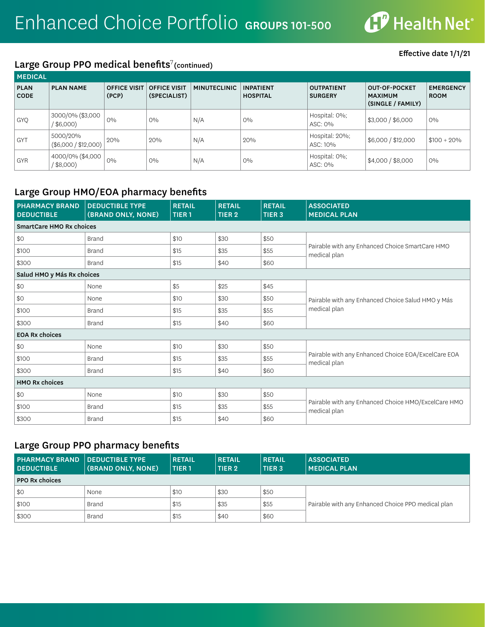

## Large Group PPO medical benefits<sup>7</sup>(continued)

| <b>MEDICAL</b>             |                                  |                              |                                     |                     |                                     |                                     |                                                             |                                 |  |  |
|----------------------------|----------------------------------|------------------------------|-------------------------------------|---------------------|-------------------------------------|-------------------------------------|-------------------------------------------------------------|---------------------------------|--|--|
| <b>PLAN</b><br><b>CODE</b> | <b>PLAN NAME</b>                 | <b>OFFICE VISIT</b><br>(PCP) | <b>OFFICE VISIT</b><br>(SPECIALIST) | <b>MINUTECLINIC</b> | <b>INPATIENT</b><br><b>HOSPITAL</b> | <b>OUTPATIENT</b><br><b>SURGERY</b> | <b>OUT-OF-POCKET</b><br><b>MAXIMUM</b><br>(SINGLE / FAMILY) | <b>EMERGENCY</b><br><b>ROOM</b> |  |  |
| <b>GYQ</b>                 | 3000/0% (\$3,000<br>\$6,000      | $O\%$                        | $0\%$                               | N/A                 | $O\%$                               | Hospital: 0%;<br>ASC: 0%            | \$3,000 / \$6,000                                           | $0\%$                           |  |  |
| <b>GYT</b>                 | 5000/20%<br>(\$6,000 / \$12,000) | 20%                          | 20%                                 | N/A                 | 20%                                 | Hospital: 20%;<br>ASC: 10%          | \$6,000 / \$12,000                                          | $$100 + 20\%$                   |  |  |
| <b>GYR</b>                 | 4000/0% (\$4,000<br>$$8,000$ )   | $O\%$                        | $O\%$                               | N/A                 | $0\%$                               | Hospital: 0%;<br>ASC: 0%            | \$4,000 / \$8,000                                           | $O\%$                           |  |  |

## Large Group HMO/EOA pharmacy benefits

| <b>PHARMACY BRAND</b><br><b>DEDUCTIBLE</b> | <b>DEDUCTIBLE TYPE</b><br>(BRAND ONLY, NONE) | <b>RETAIL</b><br><b>TIER1</b> | <b>RETAIL</b><br>TIER <sub>2</sub> | <b>RETAIL</b><br>TIER <sub>3</sub> | <b>ASSOCIATED</b><br><b>MEDICAL PLAN</b>                            |
|--------------------------------------------|----------------------------------------------|-------------------------------|------------------------------------|------------------------------------|---------------------------------------------------------------------|
| <b>SmartCare HMO Rx choices</b>            |                                              |                               |                                    |                                    |                                                                     |
| \$0                                        | <b>Brand</b>                                 | \$10                          | \$30                               | \$50                               |                                                                     |
| \$100                                      | <b>Brand</b>                                 | \$15                          | \$35                               | \$55                               | Pairable with any Enhanced Choice SmartCare HMO<br>medical plan     |
| \$300                                      | <b>Brand</b>                                 | \$15                          | \$40                               | \$60                               |                                                                     |
| Salud HMO y Más Rx choices                 |                                              |                               |                                    |                                    |                                                                     |
| \$0                                        | None                                         | \$5                           | \$25                               | \$45                               |                                                                     |
| \$0                                        | None                                         | \$10                          | \$30                               | \$50                               | Pairable with any Enhanced Choice Salud HMO y Más                   |
| \$100                                      | <b>Brand</b>                                 | \$15                          | \$35                               | \$55                               | medical plan                                                        |
| \$300                                      | <b>Brand</b>                                 | \$15                          | \$40                               | \$60                               |                                                                     |
| <b>EOA Rx choices</b>                      |                                              |                               |                                    |                                    |                                                                     |
| \$0                                        | None                                         | \$10                          | \$30                               | \$50                               |                                                                     |
| \$100                                      | <b>Brand</b>                                 | \$15                          | \$35                               | \$55                               | Pairable with any Enhanced Choice EOA/ExcelCare EOA<br>medical plan |
| \$300                                      | <b>Brand</b>                                 | \$15                          | \$40                               | \$60                               |                                                                     |
| <b>HMO Rx choices</b>                      |                                              |                               |                                    |                                    |                                                                     |
| \$0                                        | None                                         | \$10                          | \$30                               | \$50                               |                                                                     |
| \$100                                      | <b>Brand</b>                                 | \$15                          | \$35                               | \$55                               | Pairable with any Enhanced Choice HMO/ExcelCare HMO<br>medical plan |
| \$300                                      | <b>Brand</b>                                 | \$15                          | \$40                               | \$60                               |                                                                     |

# Large Group PPO pharmacy benefits

| <b>PHARMACY BRAND   DEDUCTIBLE TYPE</b><br><b>DEDUCTIBLE</b> | (BRAND ONLY, NONE) | <b>RETAIL</b><br>  TIER 1 | <b>RETAIL</b><br>TIER 2 | <b>RETAIL</b><br>TIER <sub>3</sub> | <b>ASSOCIATED</b><br><b>MEDICAL PLAN</b>           |
|--------------------------------------------------------------|--------------------|---------------------------|-------------------------|------------------------------------|----------------------------------------------------|
| <b>PPO Rx choices</b>                                        |                    |                           |                         |                                    |                                                    |
| \$0                                                          | None               | \$10                      | \$30                    | \$50                               |                                                    |
| \$100                                                        | Brand              | \$15                      | \$35                    | \$55                               | Pairable with any Enhanced Choice PPO medical plan |
| \$300                                                        | Brand              | \$15                      | \$40                    | \$60                               |                                                    |